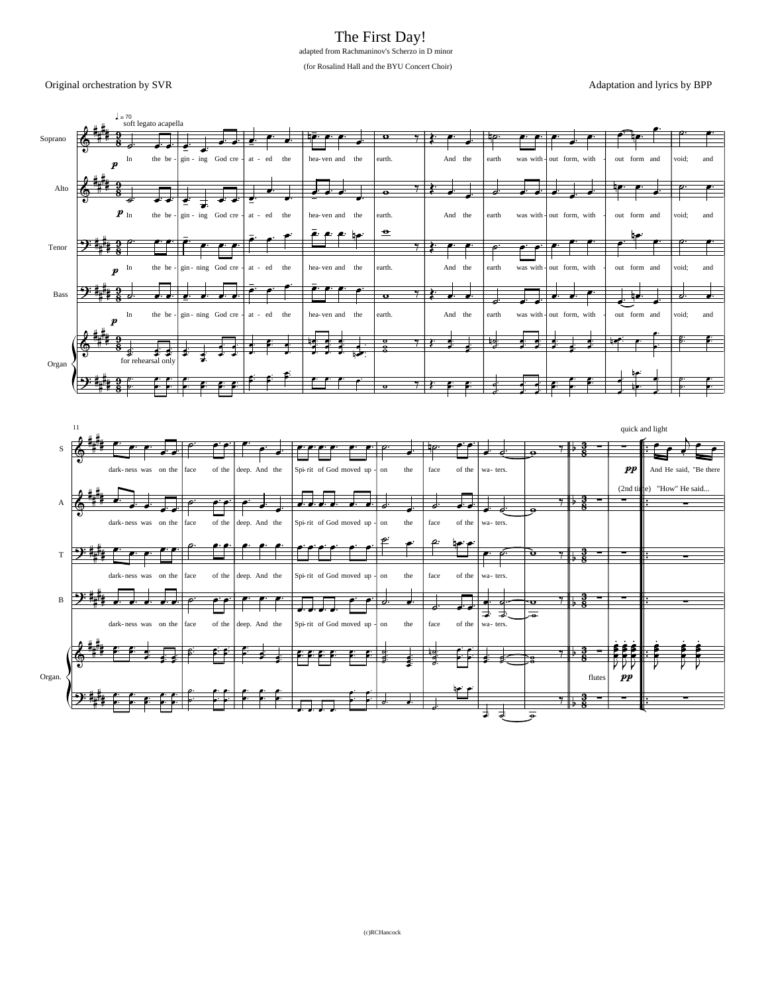## The First Day! adapted from Rachmaninov's Scherzo in D minor

(for Rosalind Hall and the BYU Concert Choir)

Original orchestration by SVR Adaptation and lyrics by BPP

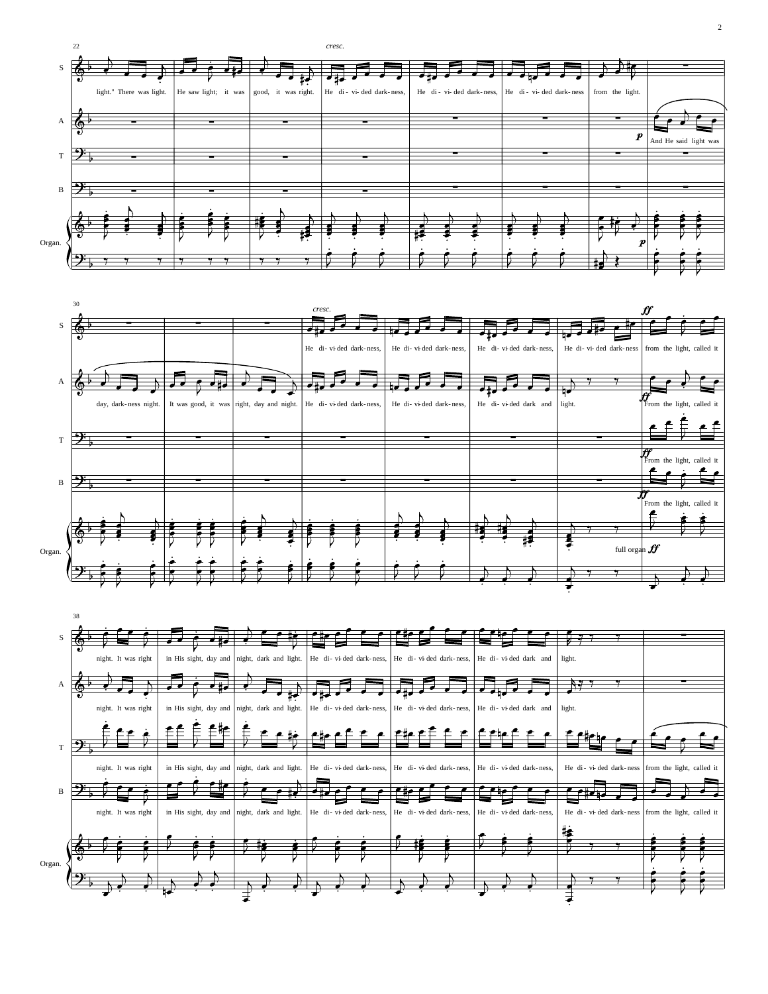



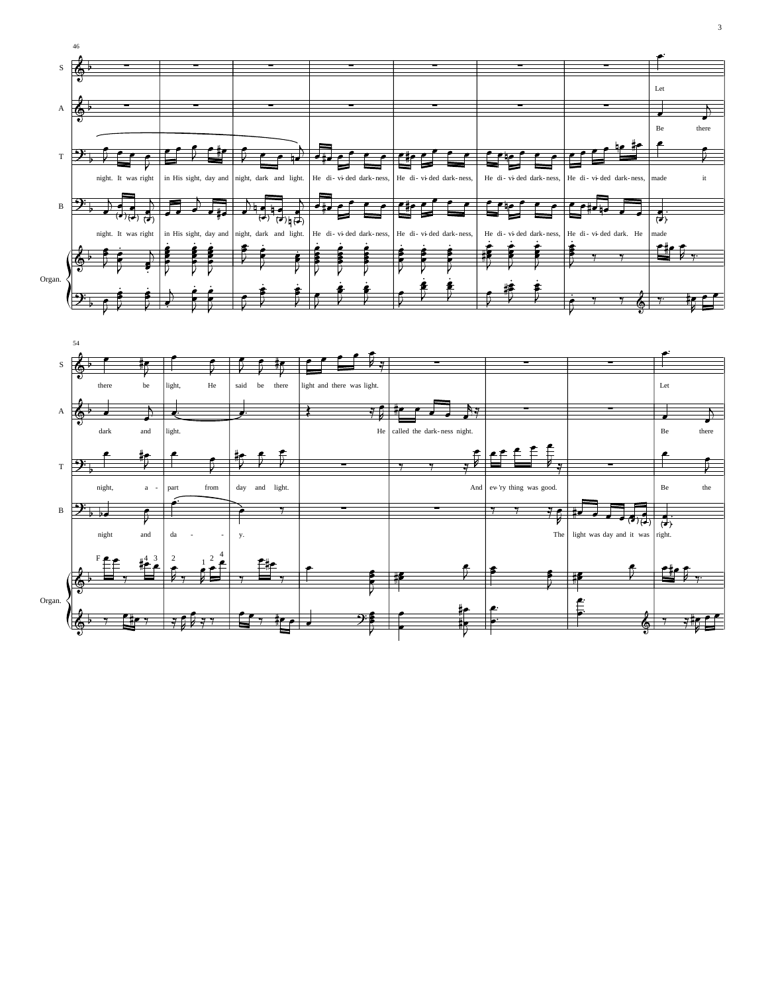

Organ.

3

∛†Ç ≦É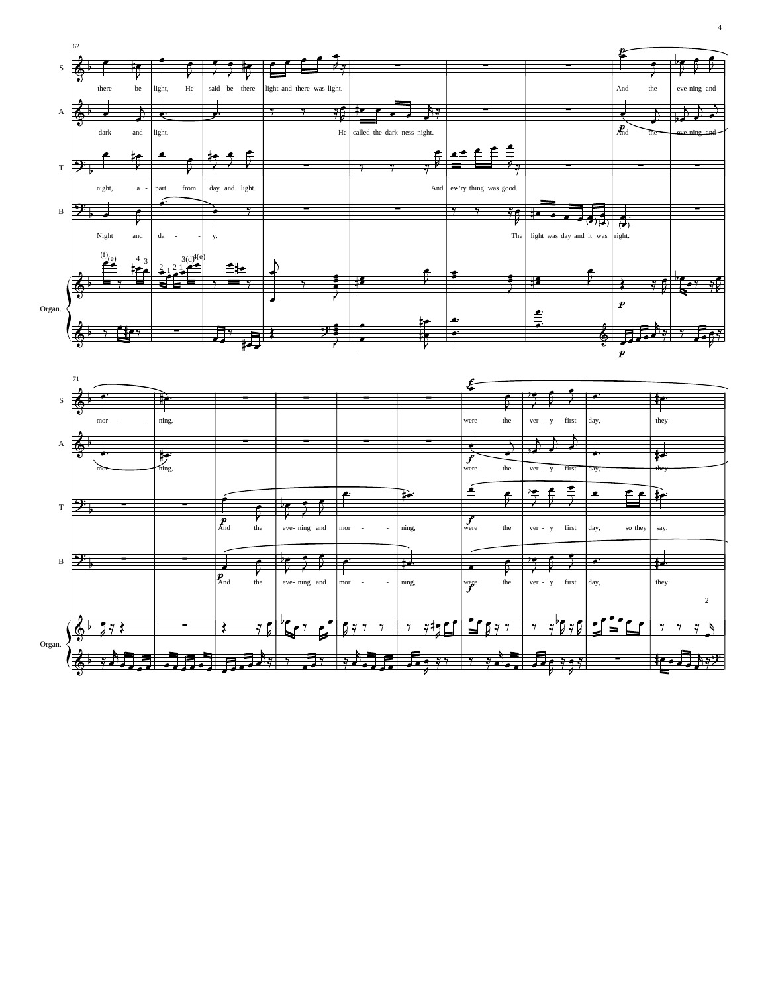

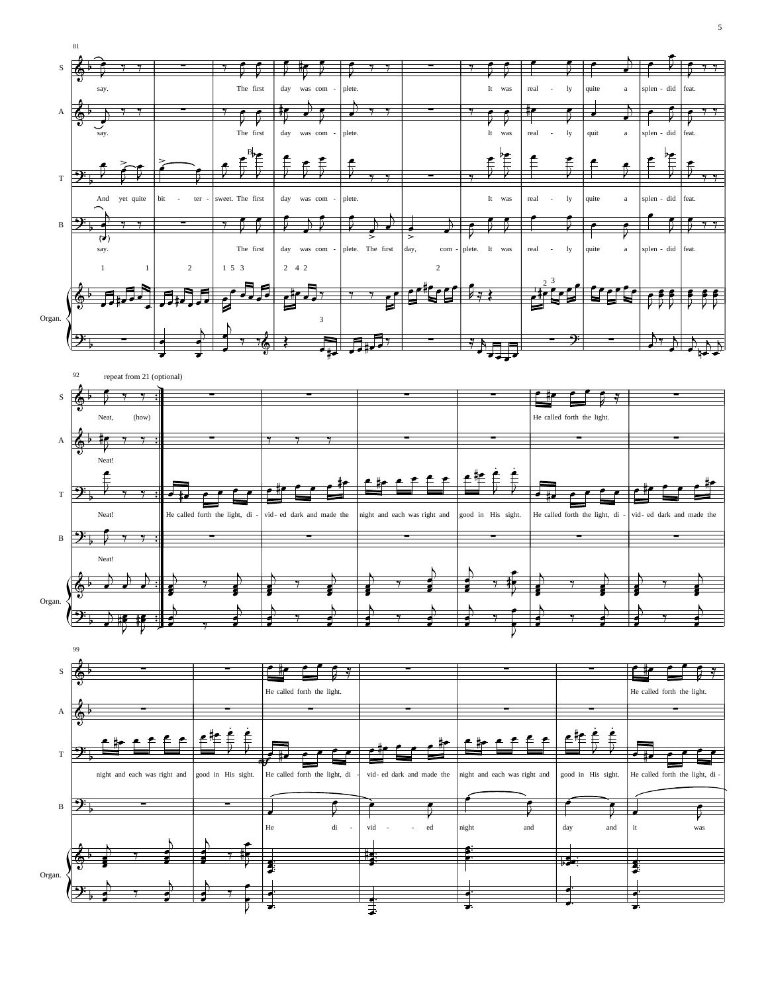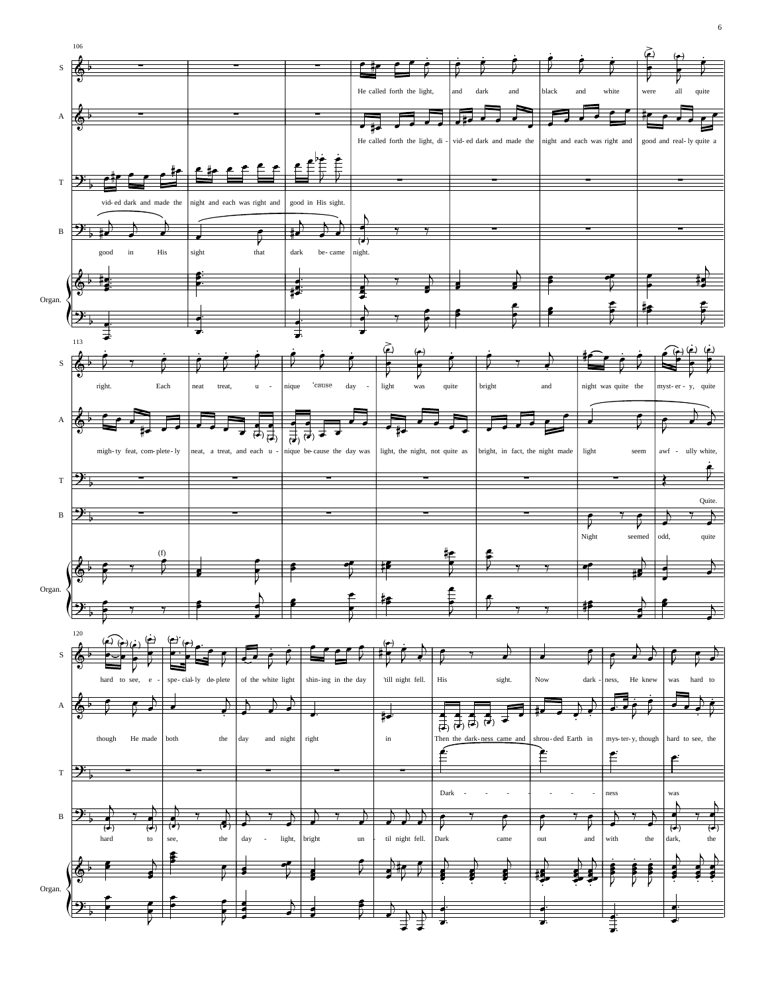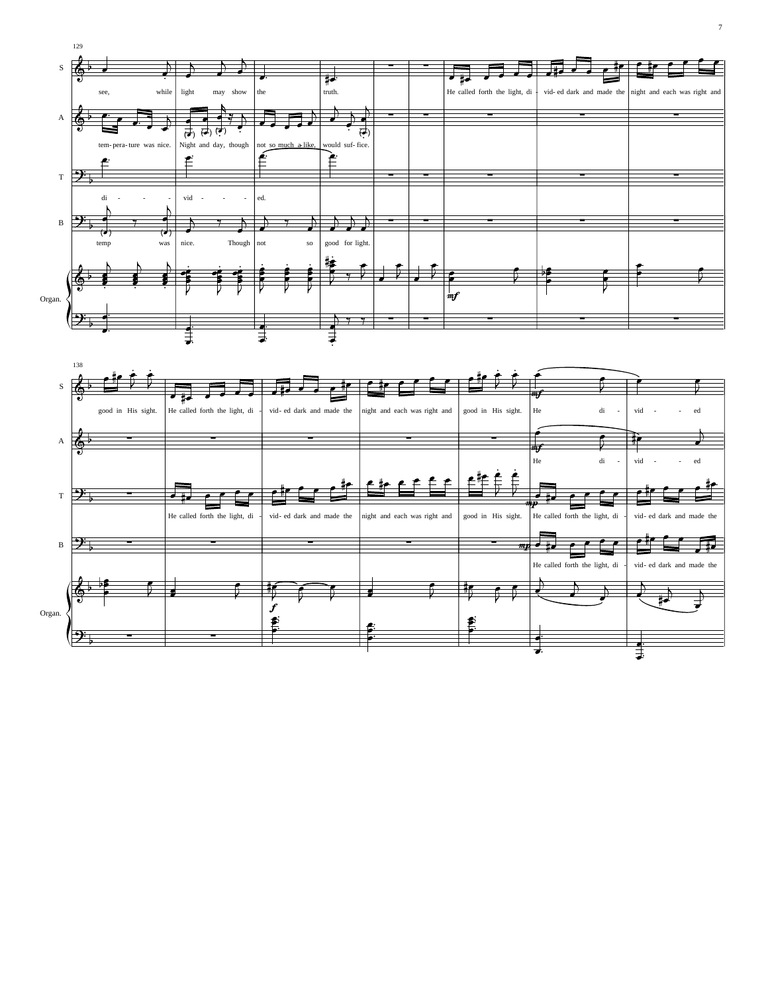

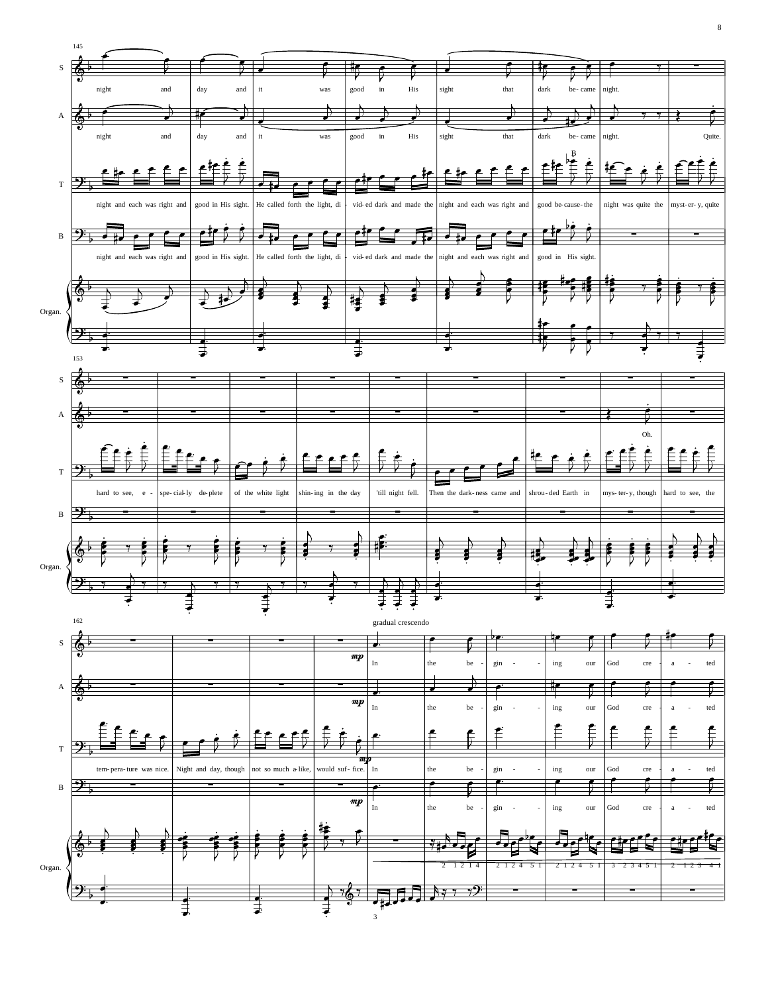

8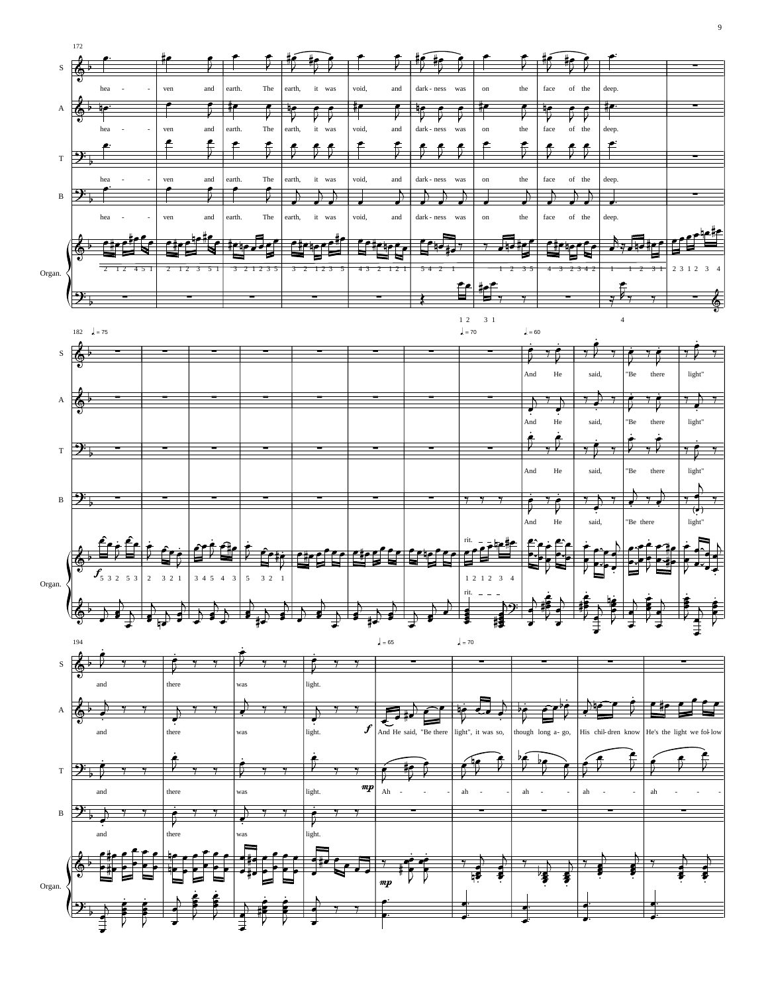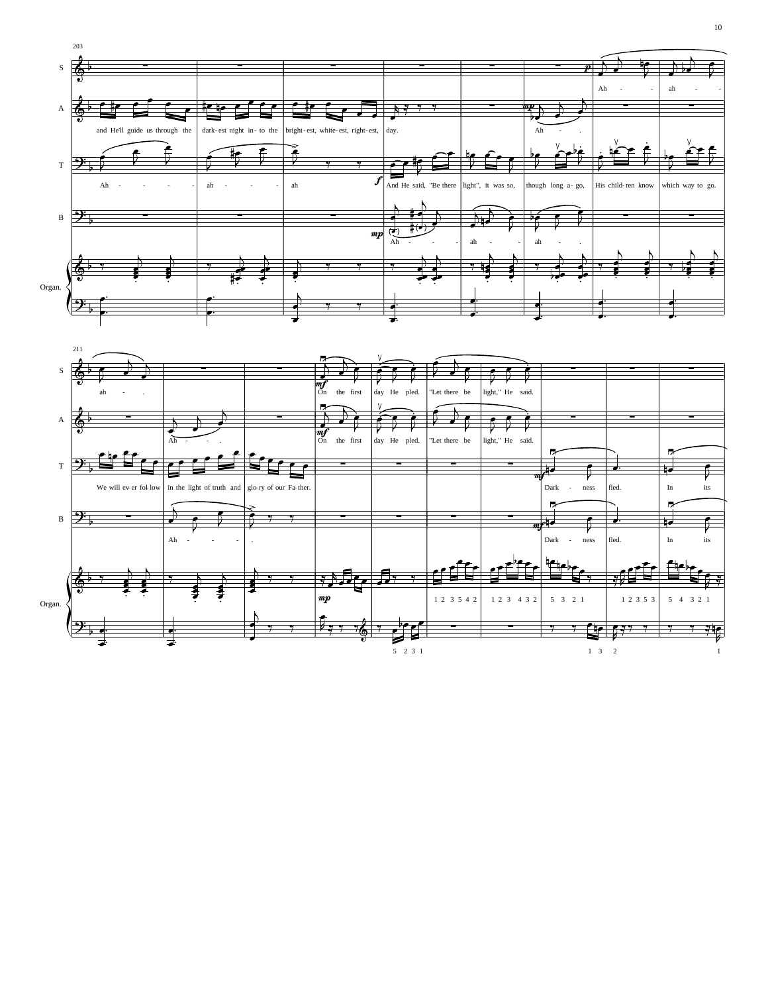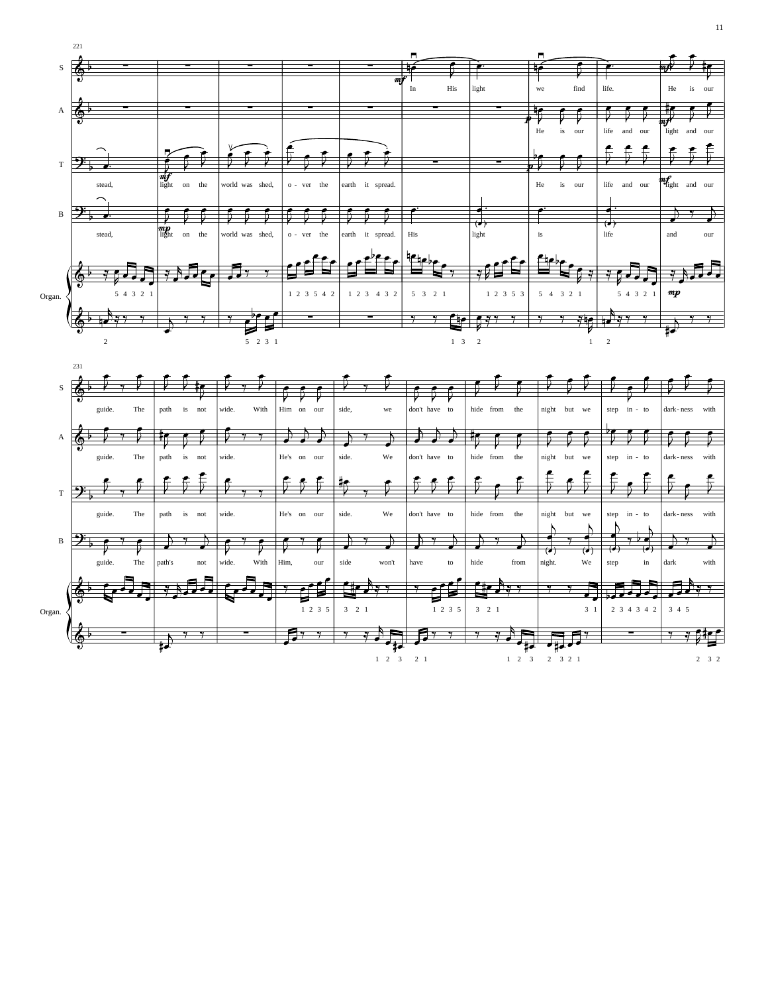

11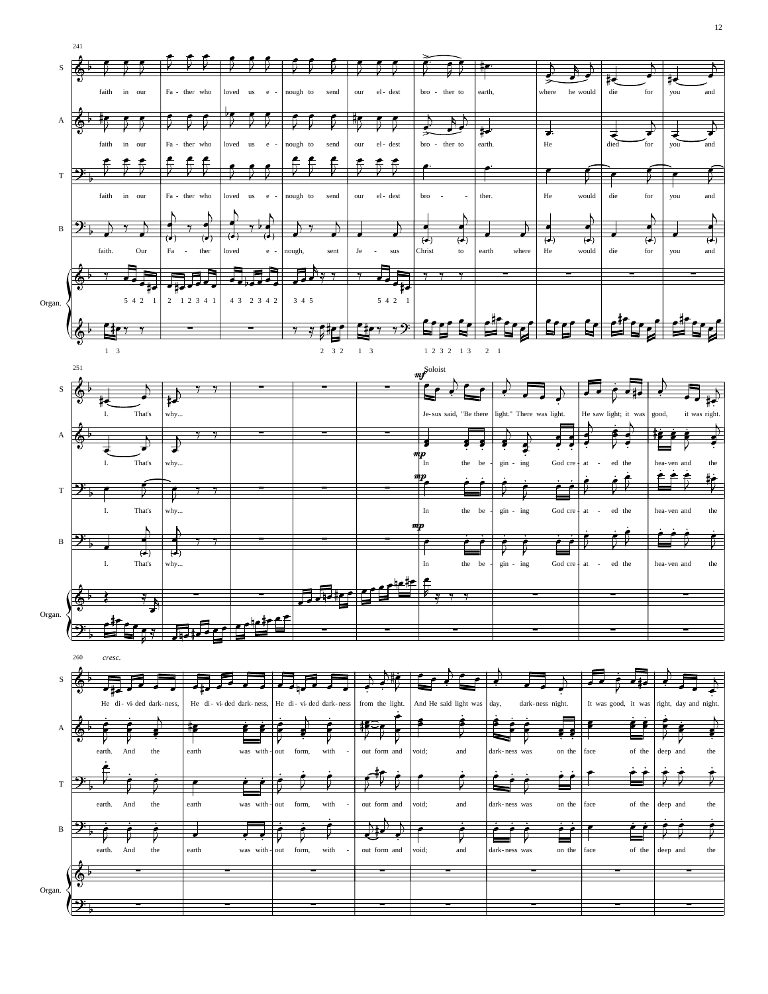

12